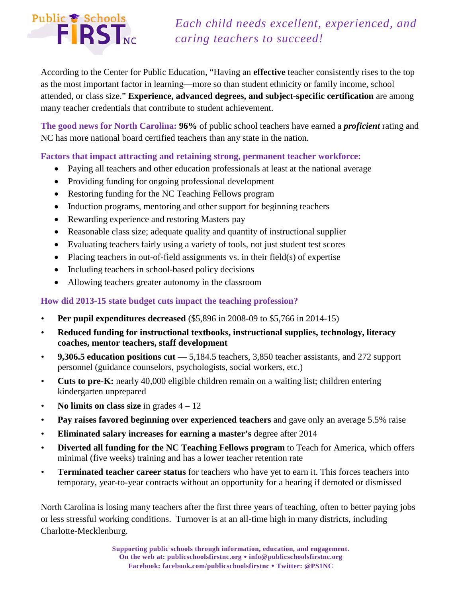# Public & Schools<br>FIRST<sub>NC</sub>

# *Each child needs excellent, experienced, and caring teachers to succeed!*

According to the Center for Public Education, "Having an **effective** teacher consistently rises to the top as the most important factor in learning—more so than student ethnicity or family income, school attended, or class size." **Experience, advanced degrees, and subject-specific certification** are among many teacher credentials that contribute to student achievement.

**The good news for North Carolina: 96%** of public school teachers have earned a *proficient* rating and NC has more national board certified teachers than any state in the nation.

### **Factors that impact attracting and retaining strong, permanent teacher workforce:**

- Paying all teachers and other education professionals at least at the national average
- Providing funding for ongoing professional development
- Restoring funding for the NC Teaching Fellows program
- Induction programs, mentoring and other support for beginning teachers
- Rewarding experience and restoring Masters pay
- Reasonable class size; adequate quality and quantity of instructional supplier
- Evaluating teachers fairly using a variety of tools, not just student test scores
- Placing teachers in out-of-field assignments vs. in their field(s) of expertise
- Including teachers in school-based policy decisions
- Allowing teachers greater autonomy in the classroom

## **How did 2013-15 state budget cuts impact the teaching profession?**

- **Per pupil expenditures decreased** (\$5,896 in 2008-09 to \$5,766 in 2014-15)
- **Reduced funding for instructional textbooks, instructional supplies, technology, literacy coaches, mentor teachers, staff development**
- **9,306.5 education positions cut** 5,184.5 teachers, 3,850 teacher assistants, and 272 support personnel (guidance counselors, psychologists, social workers, etc.)
- **Cuts to pre-K:** nearly 40,000 eligible children remain on a waiting list; children entering kindergarten unprepared
- **No limits on class size** in grades  $4 12$
- **Pay raises favored beginning over experienced teachers** and gave only an average 5.5% raise
- **Eliminated salary increases for earning a master's** degree after 2014
- **Diverted all funding for the NC Teaching Fellows program** to Teach for America, which offers minimal (five weeks) training and has a lower teacher retention rate
- **Terminated teacher career status** for teachers who have yet to earn it. This forces teachers into temporary, year-to-year contracts without an opportunity for a hearing if demoted or dismissed

North Carolina is losing many teachers after the first three years of teaching, often to better paying jobs or less stressful working conditions. Turnover is at an all-time high in many districts, including Charlotte-Mecklenburg.

> **Supporting public schools through information, education, and engagement. On the web at: publicschoolsfirstnc.org info@publicschoolsfirstnc.org Facebook: facebook.com/publicschoolsfirstnc Twitter: @PS1NC**